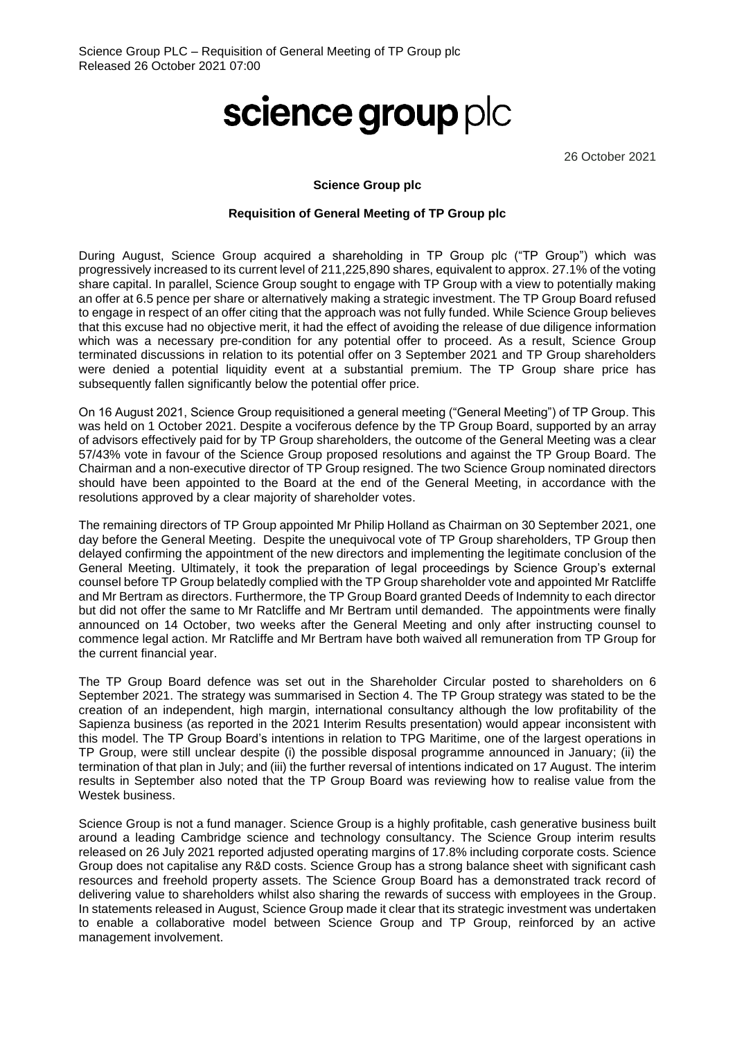## science group plc

26 October 2021

## **Science Group plc**

## **Requisition of General Meeting of TP Group plc**

During August, Science Group acquired a shareholding in TP Group plc ("TP Group") which was progressively increased to its current level of 211,225,890 shares, equivalent to approx. 27.1% of the voting share capital. In parallel, Science Group sought to engage with TP Group with a view to potentially making an offer at 6.5 pence per share or alternatively making a strategic investment. The TP Group Board refused to engage in respect of an offer citing that the approach was not fully funded. While Science Group believes that this excuse had no objective merit, it had the effect of avoiding the release of due diligence information which was a necessary pre-condition for any potential offer to proceed. As a result, Science Group terminated discussions in relation to its potential offer on 3 September 2021 and TP Group shareholders were denied a potential liquidity event at a substantial premium. The TP Group share price has subsequently fallen significantly below the potential offer price.

On 16 August 2021, Science Group requisitioned a general meeting ("General Meeting") of TP Group. This was held on 1 October 2021. Despite a vociferous defence by the TP Group Board, supported by an array of advisors effectively paid for by TP Group shareholders, the outcome of the General Meeting was a clear 57/43% vote in favour of the Science Group proposed resolutions and against the TP Group Board. The Chairman and a non-executive director of TP Group resigned. The two Science Group nominated directors should have been appointed to the Board at the end of the General Meeting, in accordance with the resolutions approved by a clear majority of shareholder votes.

The remaining directors of TP Group appointed Mr Philip Holland as Chairman on 30 September 2021, one day before the General Meeting. Despite the unequivocal vote of TP Group shareholders, TP Group then delayed confirming the appointment of the new directors and implementing the legitimate conclusion of the General Meeting. Ultimately, it took the preparation of legal proceedings by Science Group's external counsel before TP Group belatedly complied with the TP Group shareholder vote and appointed Mr Ratcliffe and Mr Bertram as directors. Furthermore, the TP Group Board granted Deeds of Indemnity to each director but did not offer the same to Mr Ratcliffe and Mr Bertram until demanded. The appointments were finally announced on 14 October, two weeks after the General Meeting and only after instructing counsel to commence legal action. Mr Ratcliffe and Mr Bertram have both waived all remuneration from TP Group for the current financial year.

The TP Group Board defence was set out in the Shareholder Circular posted to shareholders on 6 September 2021. The strategy was summarised in Section 4. The TP Group strategy was stated to be the creation of an independent, high margin, international consultancy although the low profitability of the Sapienza business (as reported in the 2021 Interim Results presentation) would appear inconsistent with this model. The TP Group Board's intentions in relation to TPG Maritime, one of the largest operations in TP Group, were still unclear despite (i) the possible disposal programme announced in January; (ii) the termination of that plan in July; and (iii) the further reversal of intentions indicated on 17 August. The interim results in September also noted that the TP Group Board was reviewing how to realise value from the Westek business.

Science Group is not a fund manager. Science Group is a highly profitable, cash generative business built around a leading Cambridge science and technology consultancy. The Science Group interim results released on 26 July 2021 reported adjusted operating margins of 17.8% including corporate costs. Science Group does not capitalise any R&D costs. Science Group has a strong balance sheet with significant cash resources and freehold property assets. The Science Group Board has a demonstrated track record of delivering value to shareholders whilst also sharing the rewards of success with employees in the Group. In statements released in August, Science Group made it clear that its strategic investment was undertaken to enable a collaborative model between Science Group and TP Group, reinforced by an active management involvement.